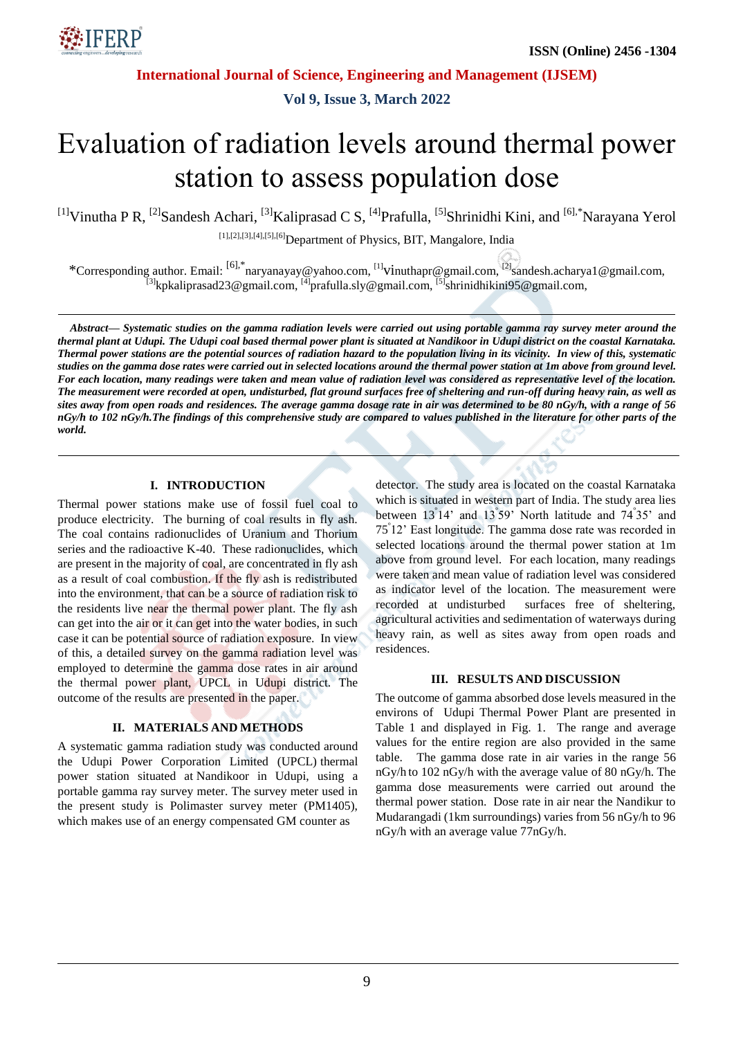

**International Journal of Science, Engineering and Management (IJSEM)**

**Vol 9, Issue 3, March 2022**

# Evaluation of radiation levels around thermal power station to assess population dose

<sup>[1]</sup>Vinutha P R, <sup>[2]</sup>Sandesh Achari, <sup>[3]</sup>Kaliprasad C S, <sup>[4]</sup>Prafulla, <sup>[5]</sup>Shrinidhi Kini, and <sup>[6],\*</sup>Narayana Yerol

[1],[2],[3],[4],[5],[6]Department of Physics, BIT, Mangalore, India

\*Corresponding author. Email: <sup>[6],\*</sup>naryanayay@yahoo.com, <sup>[1]</sup>vinuthapr@gmail.com, <sup>[2]</sup>sandesh.acharya1@gmail.com, <sup>[3]</sup>[kpkaliprasad23@gmail.com,](mailto:kpkaliprasad23@gmail.com) <sup>[4]</sup>[prafulla.sly@gmail.com,](mailto:prafulla.sly@gmail.com) <sup>[5]</sup>[shrinidhikini95@gmail.com,](mailto:shrinidhikini95@gmail.com)

*Abstract— Systematic studies on the gamma radiation levels were carried out using portable gamma ray survey meter around the thermal plant at Udupi. The Udupi coal based thermal power plant is situated at Nandikoor in Udupi district on the coastal Karnataka. Thermal power stations are the potential sources of radiation hazard to the population living in its vicinity. In view of this, systematic studies on the gamma dose rates were carried out in selected locations around the thermal power station at 1m above from ground level. For each location, many readings were taken and mean value of radiation level was considered as representative level of the location. The measurement were recorded at open, undisturbed, flat ground surfaces free of sheltering and run-off during heavy rain, as well as sites away from open roads and residences. The average gamma dosage rate in air was determined to be 80 nGy/h, with a range of 56 nGy/h to 102 nGy/h.The findings of this comprehensive study are compared to values published in the literature for other parts of the world.*

#### **I. INTRODUCTION**

Thermal power stations make use of fossil fuel coal to produce electricity. The burning of coal results in fly ash. The coal contains radionuclides of Uranium and Thorium series and the radioactive K-40. These radionuclides, which are present in the majority of coal, are concentrated in fly ash as a result of coal combustion. If the fly ash is redistributed into the environment, that can be a source of radiation risk to the residents live near the thermal power plant. The fly ash can get into the air or it can get into the water bodies, in such case it can be potential source of radiation exposure. In view of this, a detailed survey on the gamma radiation level was employed to determine the gamma dose rates in air around the thermal power plant, UPCL in Udupi district. The outcome of the results are presented in the paper.

## **II. MATERIALS AND METHODS**

A systematic gamma radiation study was conducted around the Udupi Power Corporation Limited (UPCL) thermal power station situated at Nandikoor in Udupi, using a portable gamma ray survey meter. The survey meter used in the present study is Polimaster survey meter (PM1405), which makes use of an energy compensated GM counter as

detector. The study area is located on the coastal Karnataka which is situated in western part of India. The study area lies between 13<sup>º</sup> 14' and 13<sup>º</sup> 59' North latitude and 74<sup>º</sup> 35' and 75<sup>º</sup> 12' East longitude. The gamma dose rate was recorded in selected locations around the thermal power station at 1m above from ground level. For each location, many readings were taken and mean value of radiation level was considered as indicator level of the location. The measurement were recorded at undisturbed surfaces free of sheltering, agricultural activities and sedimentation of waterways during heavy rain, as well as sites away from open roads and residences.

#### **III. RESULTS AND DISCUSSION**

The outcome of gamma absorbed dose levels measured in the environs of Udupi Thermal Power Plant are presented in Table 1 and displayed in Fig. 1. The range and average values for the entire region are also provided in the same table. The gamma dose rate in air varies in the range 56 nGy/h to 102 nGy/h with the average value of 80 nGy/h. The gamma dose measurements were carried out around the thermal power station. Dose rate in air near the Nandikur to Mudarangadi (1km surroundings) varies from 56 nGy/h to 96 nGy/h with an average value 77nGy/h.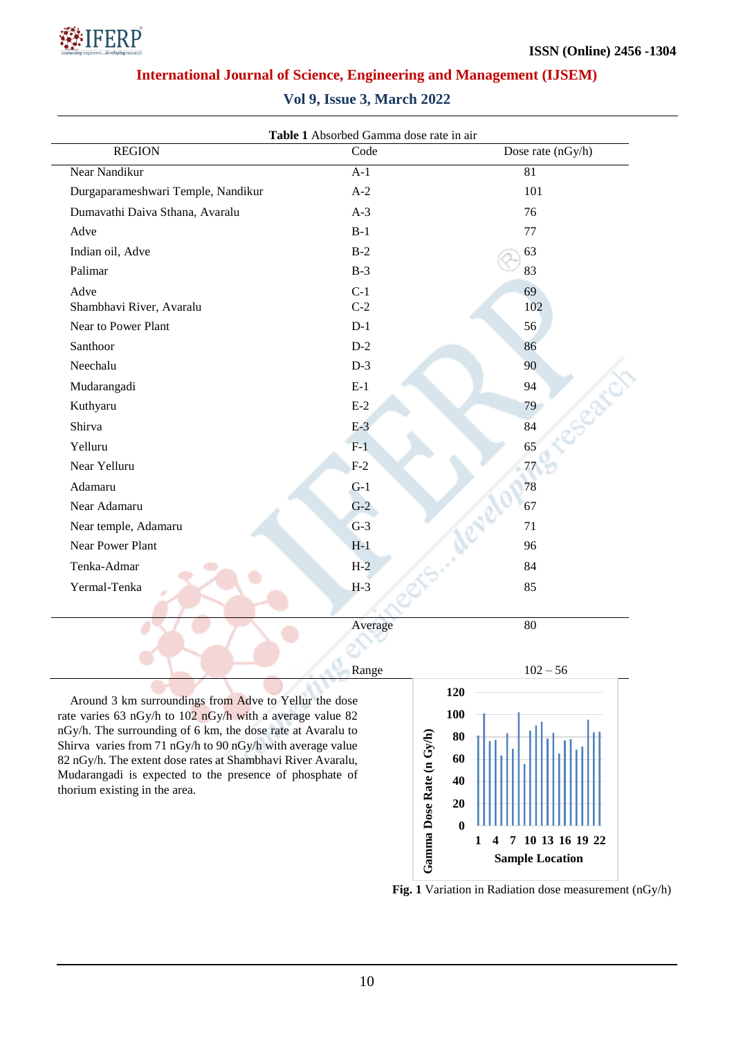

# **International Journal of Science, Engineering and Management (IJSEM)**

| <b>Vol 9, Issue 3, March 2022</b> |  |  |  |  |  |  |
|-----------------------------------|--|--|--|--|--|--|
|-----------------------------------|--|--|--|--|--|--|

| Table 1 Absorbed Gamma dose rate in air                     |         |                   |  |  |  |  |
|-------------------------------------------------------------|---------|-------------------|--|--|--|--|
| <b>REGION</b>                                               | Code    | Dose rate (nGy/h) |  |  |  |  |
| Near Nandikur                                               | $A-1$   | 81                |  |  |  |  |
| Durgaparameshwari Temple, Nandikur                          | $A-2$   | 101               |  |  |  |  |
| Dumavathi Daiva Sthana, Avaralu                             | $A-3$   | 76                |  |  |  |  |
| Adve                                                        | $B-1$   | 77                |  |  |  |  |
| Indian oil, Adve                                            | $B-2$   | 63                |  |  |  |  |
| Palimar                                                     | $B-3$   | 83                |  |  |  |  |
| Adve                                                        | $C-1$   | 69                |  |  |  |  |
| Shambhavi River, Avaralu                                    | $C-2$   | 102               |  |  |  |  |
| Near to Power Plant                                         | $D-1$   | 56                |  |  |  |  |
| Santhoor                                                    | $D-2$   | 86                |  |  |  |  |
| Neechalu                                                    | $D-3$   | 90                |  |  |  |  |
| Mudarangadi                                                 | $E-1$   | 94                |  |  |  |  |
| Kuthyaru                                                    | $E-2$   | 79                |  |  |  |  |
| Shirva                                                      | $E-3$   | 84                |  |  |  |  |
| Yelluru                                                     | $F-1$   | 65                |  |  |  |  |
| Near Yelluru                                                | $F-2$   | 77                |  |  |  |  |
| Adamaru                                                     | $G-1$   | 78                |  |  |  |  |
| Near Adamaru                                                | $G-2$   | 67                |  |  |  |  |
| Near temple, Adamaru                                        | $G-3$   | 71                |  |  |  |  |
| Near Power Plant                                            | $H-1$   | 96                |  |  |  |  |
| Tenka-Admar                                                 | $H-2$   | 84                |  |  |  |  |
| Yermal-Tenka                                                | $H-3$   | 85                |  |  |  |  |
|                                                             |         |                   |  |  |  |  |
|                                                             | Average | 80                |  |  |  |  |
|                                                             |         |                   |  |  |  |  |
|                                                             |         |                   |  |  |  |  |
|                                                             | Range   | $102 - 56$        |  |  |  |  |
| Around 3 km surroundings from Adve to Yellur the dose       |         | 120               |  |  |  |  |
| rate varies 63 nGy/h to 102 nGy/h with a average value 82   |         | 100               |  |  |  |  |
| nGy/h. The surrounding of 6 km, the dose rate at Avaralu to |         | 80                |  |  |  |  |
| Shirva varies from 71 nGy/h to 90 nGy/h with average value  | Gy/h    |                   |  |  |  |  |

82 nGy/h. The extent dose rates at Shambhavi River Avaralu, Mudarangadi is expected to the presence of phosphate of thorium existing in the area.



**Fig. 1** Variation in Radiation dose measurement (nGy/h)